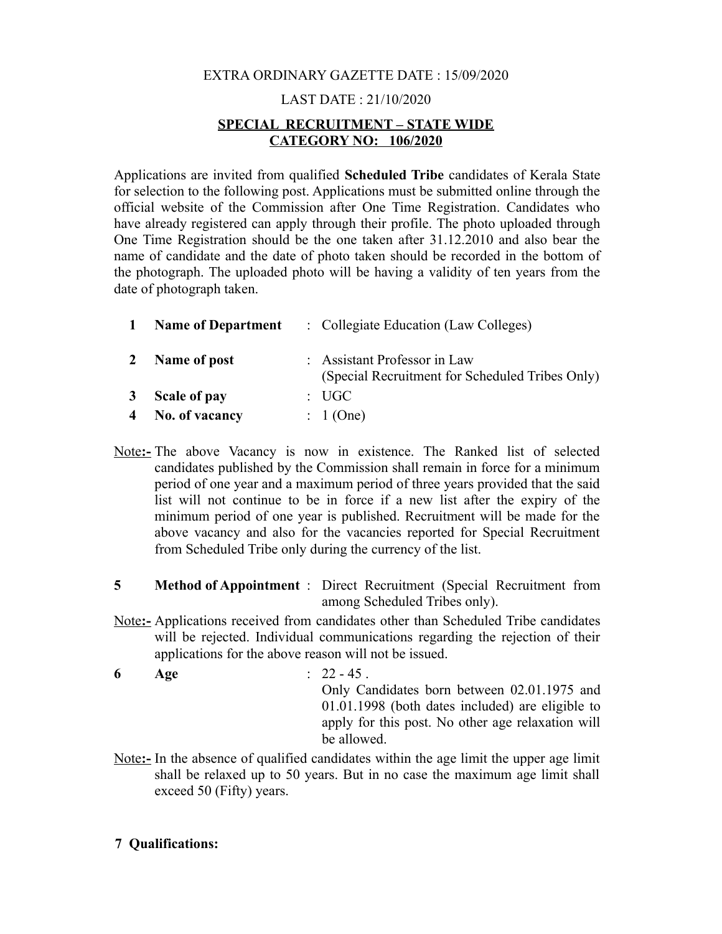# EXTRA ORDINARY GAZETTE DATE : 15/09/2020

## LAST DATE : 21/10/2020

## **SPECIAL RECRUITMENT – STATE WIDE CATEGORY NO: 106/2020**

Applications are invited from qualified **Scheduled Tribe** candidates of Kerala State for selection to the following post. Applications must be submitted online through the official website of the Commission after One Time Registration. Candidates who have already registered can apply through their profile. The photo uploaded through One Time Registration should be the one taken after 31.12.2010 and also bear the name of candidate and the date of photo taken should be recorded in the bottom of the photograph. The uploaded photo will be having a validity of ten years from the date of photograph taken.

| $\mathbf{1}$ | <b>Name of Department</b> | : Collegiate Education (Law Colleges)                                           |
|--------------|---------------------------|---------------------------------------------------------------------------------|
| $\mathbf{2}$ | Name of post              | : Assistant Professor in Law<br>(Special Recruitment for Scheduled Tribes Only) |
| 3            | Scale of pay              | $\therefore$ UGC                                                                |
|              | 4 No. of vacancy          | $: 1$ (One)                                                                     |

- Note**:-** The above Vacancy is now in existence. The Ranked list of selected candidates published by the Commission shall remain in force for a minimum period of one year and a maximum period of three years provided that the said list will not continue to be in force if a new list after the expiry of the minimum period of one year is published. Recruitment will be made for the above vacancy and also for the vacancies reported for Special Recruitment from Scheduled Tribe only during the currency of the list.
- **5 Method of Appointment** : Direct Recruitment (Special Recruitment from among Scheduled Tribes only).
- Note**:-** Applications received from candidates other than Scheduled Tribe candidates will be rejected. Individual communications regarding the rejection of their applications for the above reason will not be issued.

**6 Age** : 22 - 45 . Only Candidates born between 02.01.1975 and 01.01.1998 (both dates included) are eligible to apply for this post. No other age relaxation will be allowed.

 Note**:-** In the absence of qualified candidates within the age limit the upper age limit shall be relaxed up to 50 years. But in no case the maximum age limit shall exceed 50 (Fifty) years.

#### **7 Qualifications:**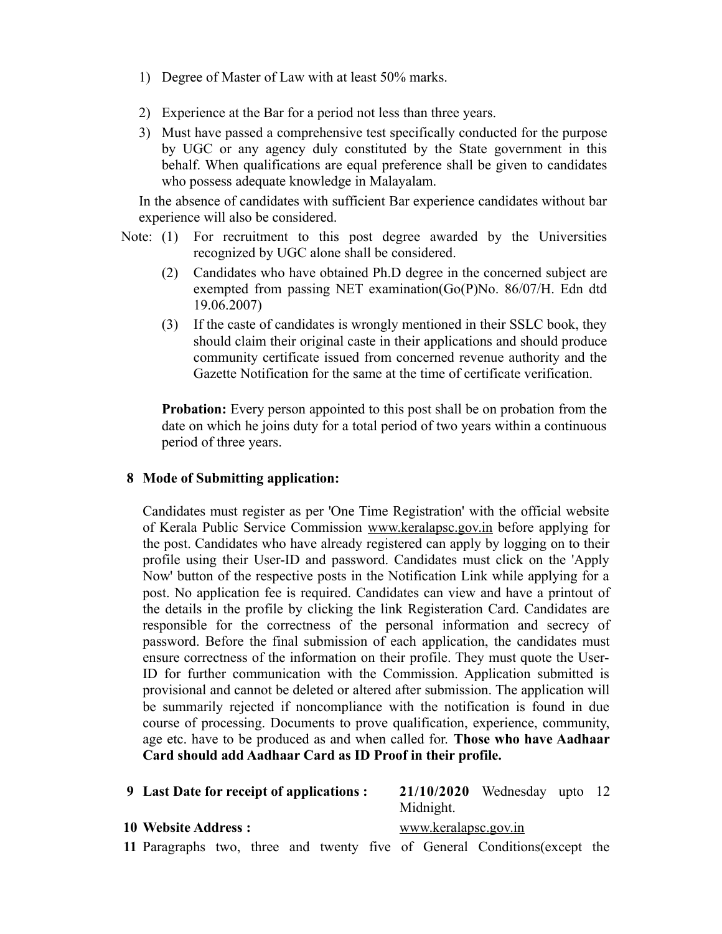- 1) Degree of Master of Law with at least 50% marks.
- 2) Experience at the Bar for a period not less than three years.
- 3) Must have passed a comprehensive test specifically conducted for the purpose by UGC or any agency duly constituted by the State government in this behalf. When qualifications are equal preference shall be given to candidates who possess adequate knowledge in Malayalam.

In the absence of candidates with sufficient Bar experience candidates without bar experience will also be considered.

- Note: (1) For recruitment to this post degree awarded by the Universities recognized by UGC alone shall be considered.
	- (2) Candidates who have obtained Ph.D degree in the concerned subject are exempted from passing NET examination(Go(P)No. 86/07/H. Edn dtd 19.06.2007)
	- (3) If the caste of candidates is wrongly mentioned in their SSLC book, they should claim their original caste in their applications and should produce community certificate issued from concerned revenue authority and the Gazette Notification for the same at the time of certificate verification.

**Probation:** Every person appointed to this post shall be on probation from the date on which he joins duty for a total period of two years within a continuous period of three years.

#### **8 Mode of Submitting application:**

Candidates must register as per 'One Time Registration' with the official website of Kerala Public Service Commission www.keralapsc.gov.in before applying for the post. Candidates who have already registered can apply by logging on to their profile using their User-ID and password. Candidates must click on the 'Apply Now' button of the respective posts in the Notification Link while applying for a post. No application fee is required. Candidates can view and have a printout of the details in the profile by clicking the link Registeration Card. Candidates are responsible for the correctness of the personal information and secrecy of password. Before the final submission of each application, the candidates must ensure correctness of the information on their profile. They must quote the User-ID for further communication with the Commission. Application submitted is provisional and cannot be deleted or altered after submission. The application will be summarily rejected if noncompliance with the notification is found in due course of processing. Documents to prove qualification, experience, community, age etc. have to be produced as and when called for. **Those who have Aadhaar Card should add Aadhaar Card as ID Proof in their profile.**

| 9 Last Date for receipt of applications : |  |  |  |  |  | $21/10/2020$ Wednesday upto 12<br>Midnight. |  |                                                                            |  |  |
|-------------------------------------------|--|--|--|--|--|---------------------------------------------|--|----------------------------------------------------------------------------|--|--|
| <b>10 Website Address :</b>               |  |  |  |  |  | www.keralapsc.gov.in                        |  |                                                                            |  |  |
|                                           |  |  |  |  |  |                                             |  | 11 Paragraphs two, three and twenty five of General Conditions (except the |  |  |